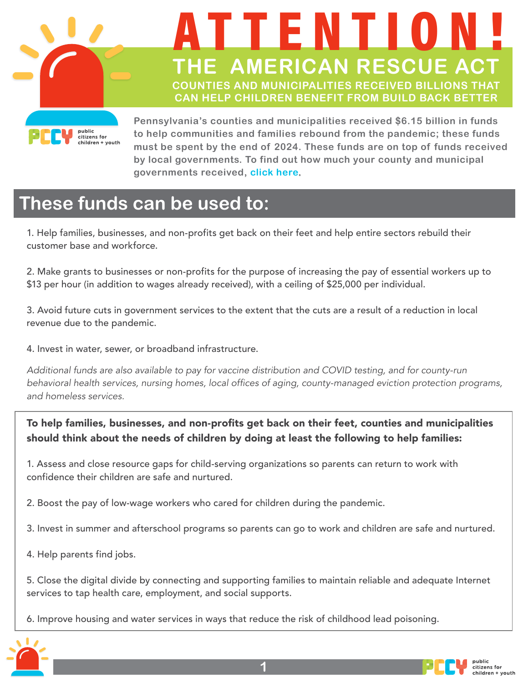# **ATTENTIO THE AMERICAN RESCUE ACT COUNTIES AND MUNICIPALITIES RECEIVED BILLIONS THAT CAN HELP CHILDREN BENEFIT FROM BUILD BACK BET**



**Pennsylvania's counties and municipalities received \$6.15 billion in funds to help communities and families rebound from the pandemic; these funds must be spent by the end of 2024. These funds are on top of funds received by local governments. To find out how much your county and municipal governments received, [click here.](http://www.pccy.org/wp-content/uploads/2021/04/PA-State-and-Local-Allocations-Workbook-Complete.pdf)**

# **These funds can be used to:**

1. Help families, businesses, and non-profits get back on their feet and help entire sectors rebuild their customer base and workforce.

2. Make grants to businesses or non-profits for the purpose of increasing the pay of essential workers up to \$13 per hour (in addition to wages already received), with a ceiling of \$25,000 per individual.

3. Avoid future cuts in government services to the extent that the cuts are a result of a reduction in local revenue due to the pandemic.

4. Invest in water, sewer, or broadband infrastructure.

Additional funds are also available to pay for vaccine distribution and COVID testing, and for county-run behavioral health services, nursing homes, local offices of aging, county-managed eviction protection programs, and homeless services.

To help families, businesses, and non-profits get back on their feet, counties and municipalities should think about the needs of children by doing at least the following to help families:

1. Assess and close resource gaps for child-serving organizations so parents can return to work with confidence their children are safe and nurtured.

2. Boost the pay of low-wage workers who cared for children during the pandemic.

3. Invest in summer and afterschool programs so parents can go to work and children are safe and nurtured.

4. Help parents find jobs.

5. Close the digital divide by connecting and supporting families to maintain reliable and adequate Internet services to tap health care, employment, and social supports.

6. Improve housing and water services in ways that reduce the risk of childhood lead poisoning.



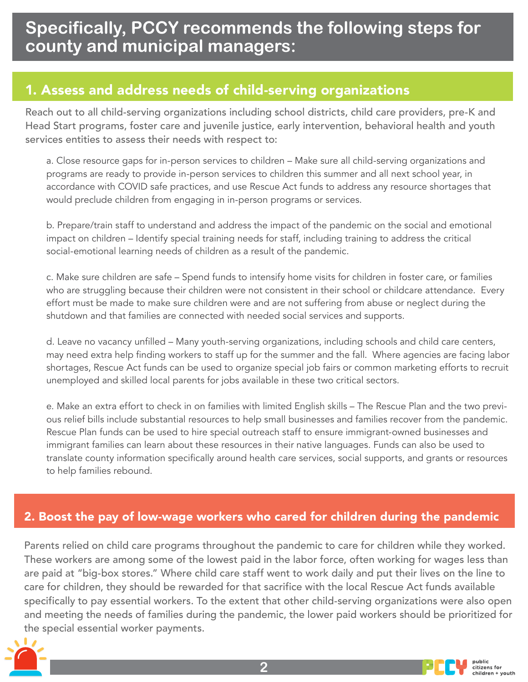## 1. Assess and address needs of child-serving organizations

Reach out to all child-serving organizations including school districts, child care providers, pre-K and Head Start programs, foster care and juvenile justice, early intervention, behavioral health and youth services entities to assess their needs with respect to:

a. Close resource gaps for in-person services to children – Make sure all child-serving organizations and programs are ready to provide in-person services to children this summer and all next school year, in accordance with COVID safe practices, and use Rescue Act funds to address any resource shortages that would preclude children from engaging in in-person programs or services.

b. Prepare/train staff to understand and address the impact of the pandemic on the social and emotional impact on children – Identify special training needs for staff, including training to address the critical social-emotional learning needs of children as a result of the pandemic.

c. Make sure children are safe – Spend funds to intensify home visits for children in foster care, or families who are struggling because their children were not consistent in their school or childcare attendance. Every effort must be made to make sure children were and are not suffering from abuse or neglect during the shutdown and that families are connected with needed social services and supports.

d. Leave no vacancy unfilled – Many youth-serving organizations, including schools and child care centers, may need extra help finding workers to staff up for the summer and the fall. Where agencies are facing labor shortages, Rescue Act funds can be used to organize special job fairs or common marketing efforts to recruit unemployed and skilled local parents for jobs available in these two critical sectors.

e. Make an extra effort to check in on families with limited English skills – The Rescue Plan and the two previous relief bills include substantial resources to help small businesses and families recover from the pandemic. Rescue Plan funds can be used to hire special outreach staff to ensure immigrant-owned businesses and immigrant families can learn about these resources in their native languages. Funds can also be used to translate county information specifically around health care services, social supports, and grants or resources to help families rebound.

#### 2. Boost the pay of low-wage workers who cared for children during the pandemic

Parents relied on child care programs throughout the pandemic to care for children while they worked. These workers are among some of the lowest paid in the labor force, often working for wages less than are paid at "big-box stores." Where child care staff went to work daily and put their lives on the line to care for children, they should be rewarded for that sacrifice with the local Rescue Act funds available specifically to pay essential workers. To the extent that other child-serving organizations were also open and meeting the needs of families during the pandemic, the lower paid workers should be prioritized for the special essential worker payments.

**2**



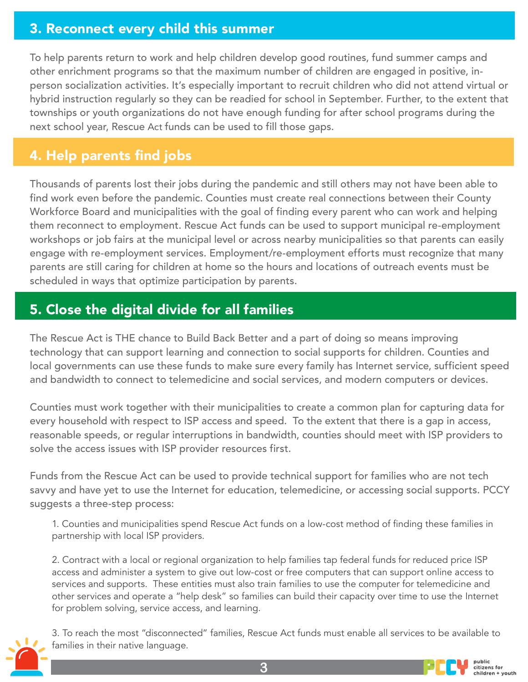### 3. Reconnect every child this summer

To help parents return to work and help children develop good routines, fund summer camps and other enrichment programs so that the maximum number of children are engaged in positive, inperson socialization activities. It's especially important to recruit children who did not attend virtual or hybrid instruction regularly so they can be readied for school in September. Further, to the extent that townships or youth organizations do not have enough funding for after school programs during the next school year, Rescue Act funds can be used to fill those gaps.

#### 4. Help parents find jobs

Thousands of parents lost their jobs during the pandemic and still others may not have been able to find work even before the pandemic. Counties must create real connections between their County Workforce Board and municipalities with the goal of finding every parent who can work and helping them reconnect to employment. Rescue Act funds can be used to support municipal re-employment workshops or job fairs at the municipal level or across nearby municipalities so that parents can easily engage with re-employment services. Employment/re-employment efforts must recognize that many parents are still caring for children at home so the hours and locations of outreach events must be scheduled in ways that optimize participation by parents.

### 5. Close the digital divide for all families

The Rescue Act is THE chance to Build Back Better and a part of doing so means improving technology that can support learning and connection to social supports for children. Counties and local governments can use these funds to make sure every family has Internet service, sufficient speed and bandwidth to connect to telemedicine and social services, and modern computers or devices.

Counties must work together with their municipalities to create a common plan for capturing data for every household with respect to ISP access and speed. To the extent that there is a gap in access, reasonable speeds, or regular interruptions in bandwidth, counties should meet with ISP providers to solve the access issues with ISP provider resources first.

Funds from the Rescue Act can be used to provide technical support for families who are not tech savvy and have yet to use the Internet for education, telemedicine, or accessing social supports. PCCY suggests a three-step process:

1. Counties and municipalities spend Rescue Act funds on a low-cost method of finding these families in partnership with local ISP providers.

2. Contract with a local or regional organization to help families tap federal funds for reduced price ISP access and administer a system to give out low-cost or free computers that can support online access to services and supports. These entities must also train families to use the computer for telemedicine and other services and operate a "help desk" so families can build their capacity over time to use the Internet for problem solving, service access, and learning.

3. To reach the most "disconnected" families, Rescue Act funds must enable all services to be available to families in their native language.

**3**



public citizens for children + vouth